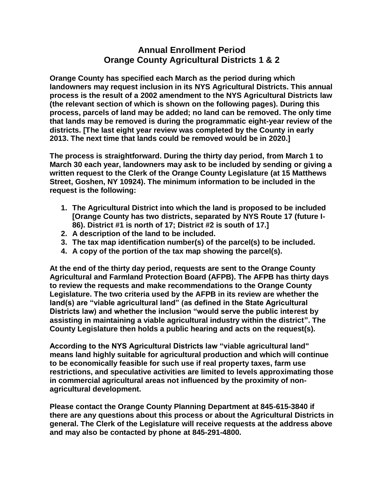## **Annual Enrollment Period Orange County Agricultural Districts 1 & 2**

**Orange County has specified each March as the period during which landowners may request inclusion in its NYS Agricultural Districts. This annual process is the result of a 2002 amendment to the NYS Agricultural Districts law (the relevant section of which is shown on the following pages). During this process, parcels of land may be added; no land can be removed. The only time that lands may be removed is during the programmatic eight-year review of the districts. [The last eight year review was completed by the County in early 2013. The next time that lands could be removed would be in 2020.]**

**The process is straightforward. During the thirty day period, from March 1 to March 30 each year, landowners may ask to be included by sending or giving a written request to the Clerk of the Orange County Legislature (at 15 Matthews Street, Goshen, NY 10924). The minimum information to be included in the request is the following:**

- **1. The Agricultural District into which the land is proposed to be included [Orange County has two districts, separated by NYS Route 17 (future I-86). District #1 is north of 17; District #2 is south of 17.]**
- **2. A description of the land to be included.**
- **3. The tax map identification number(s) of the parcel(s) to be included.**
- **4. A copy of the portion of the tax map showing the parcel(s).**

**At the end of the thirty day period, requests are sent to the Orange County Agricultural and Farmland Protection Board (AFPB). The AFPB has thirty days to review the requests and make recommendations to the Orange County Legislature. The two criteria used by the AFPB in its review are whether the land(s) are "viable agricultural land" (as defined in the State Agricultural Districts law) and whether the inclusion "would serve the public interest by assisting in maintaining a viable agricultural industry within the district". The County Legislature then holds a public hearing and acts on the request(s).**

**According to the NYS Agricultural Districts law "viable agricultural land" means land highly suitable for agricultural production and which will continue to be economically feasible for such use if real property taxes, farm use restrictions, and speculative activities are limited to levels approximating those in commercial agricultural areas not influenced by the proximity of nonagricultural development.**

**Please contact the Orange County Planning Department at 845-615-3840 if there are any questions about this process or about the Agricultural Districts in general. The Clerk of the Legislature will receive requests at the address above and may also be contacted by phone at 845-291-4800.**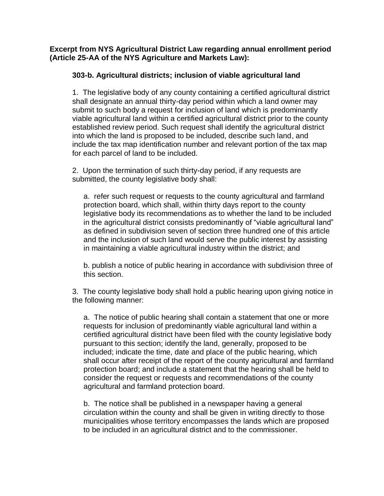**Excerpt from NYS Agricultural District Law regarding annual enrollment period (Article 25-AA of the NYS Agriculture and Markets Law):**

## **303-b. Agricultural districts; inclusion of viable agricultural land**

1. The legislative body of any county containing a certified agricultural district shall designate an annual thirty-day period within which a land owner may submit to such body a request for inclusion of land which is predominantly viable agricultural land within a certified agricultural district prior to the county established review period. Such request shall identify the agricultural district into which the land is proposed to be included, describe such land, and include the tax map identification number and relevant portion of the tax map for each parcel of land to be included.

2. Upon the termination of such thirty-day period, if any requests are submitted, the county legislative body shall:

a. refer such request or requests to the county agricultural and farmland protection board, which shall, within thirty days report to the county legislative body its recommendations as to whether the land to be included in the agricultural district consists predominantly of "viable agricultural land" as defined in subdivision seven of section three hundred one of this article and the inclusion of such land would serve the public interest by assisting in maintaining a viable agricultural industry within the district; and

b. publish a notice of public hearing in accordance with subdivision three of this section.

3. The county legislative body shall hold a public hearing upon giving notice in the following manner:

a. The notice of public hearing shall contain a statement that one or more requests for inclusion of predominantly viable agricultural land within a certified agricultural district have been filed with the county legislative body pursuant to this section; identify the land, generally, proposed to be included; indicate the time, date and place of the public hearing, which shall occur after receipt of the report of the county agricultural and farmland protection board; and include a statement that the hearing shall be held to consider the request or requests and recommendations of the county agricultural and farmland protection board.

b. The notice shall be published in a newspaper having a general circulation within the county and shall be given in writing directly to those municipalities whose territory encompasses the lands which are proposed to be included in an agricultural district and to the commissioner.